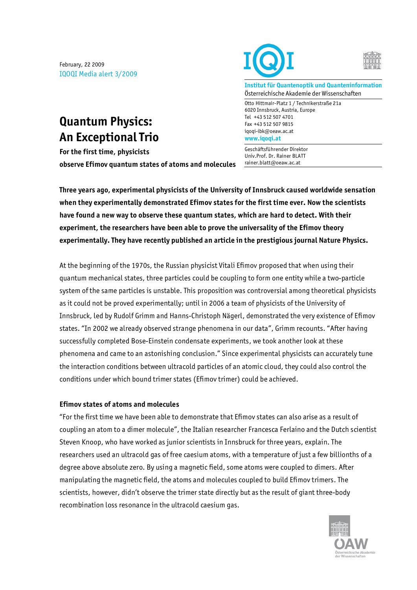February, 22 2009 IQOQI Media alert 3/2009

## **Quantum Physics: An Exceptional Trio**

**For the first time, physicists observe Efimov quantum states of atoms and molecules**



**Institut für Quantenoptik und Quanteninformation** Österreichische Akademie der Wissenschaften

Otto Hittmair-Platz 1 / Technikerstraße 21a 6020 Innsbruck, Austria, Europe Tel +43 512 507 4701 Fax +43 512 507 9815 iqoqi-ibk@oeaw.ac.at **www.iqoqi.at**

Geschäftsführender Direktor Univ.Prof. Dr. Rainer BLATT rainer.blatt@oeaw.ac.at

**Three years ago, experimental physicists of the University of Innsbruck caused worldwide sensation when they experimentally demonstrated Efimov states for the first time ever. Now the scientists have found a new way to observe these quantum states, which are hard to detect. With their experiment, the researchers have been able to prove the universality of the Efimov theory experimentally. They have recently published an article in the prestigious journal Nature Physics.** 

At the beginning of the 1970s, the Russian physicist Vitali Efimov proposed that when using their quantum mechanical states, three particles could be coupling to form one entity while a two-particle system of the same particles is unstable. This proposition was controversial among theoretical physicists as it could not be proved experimentally; until in 2006 a team of physicists of the University of Innsbruck, led by Rudolf Grimm and Hanns-Christoph Nägerl, demonstrated the very existence of Efimov states. "In 2002 we already observed strange phenomena in our data", Grimm recounts. "After having successfully completed Bose-Einstein condensate experiments, we took another look at these phenomena and came to an astonishing conclusion." Since experimental physicists can accurately tune the interaction conditions between ultracold particles of an atomic cloud, they could also control the conditions under which bound trimer states (Efimov trimer) could be achieved.

## **Efimov states of atoms and molecules**

"For the first time we have been able to demonstrate that Efimov states can also arise as a result of coupling an atom to a dimer molecule", the Italian researcher Francesca Ferlaino and the Dutch scientist Steven Knoop, who have worked as junior scientists in Innsbruck for three years, explain. The researchers used an ultracold gas of free caesium atoms, with a temperature of just a few billionths of a degree above absolute zero. By using a magnetic field, some atoms were coupled to dimers. After manipulating the magnetic field, the atoms and molecules coupled to build Efimov trimers. The scientists, however, didn't observe the trimer state directly but as the result of giant three-body recombination loss resonance in the ultracold caesium gas.